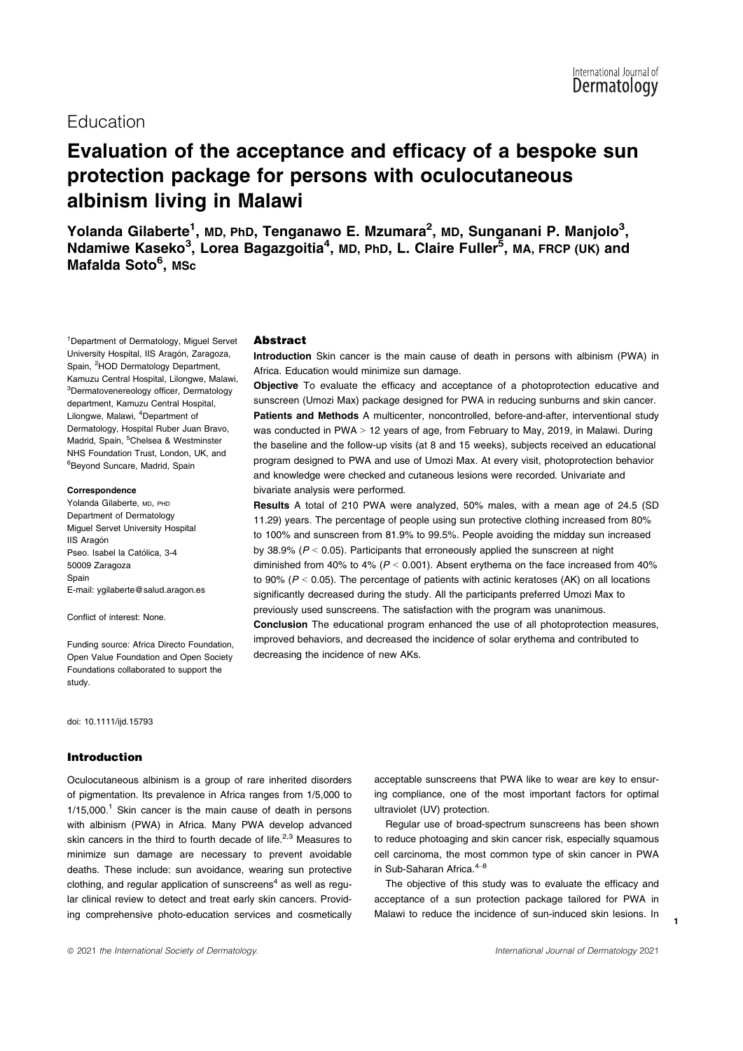# Education

# Evaluation of the acceptance and efficacy of a bespoke sun protection package for persons with oculocutaneous albinism living in Malawi

Yolanda Gilaberte<sup>1</sup>, MD, PhD, Tenganawo E. Mzumara<sup>2</sup>, MD, Sunganani P. Manjolo<sup>3</sup>, Ndamiwe Kaseko<sup>3</sup>, Lorea Bagazgoitia<sup>4</sup>, MD, PhD, L. Claire Fuller<sup>5</sup>, MA, FRCP (UK) and Mafalda Soto<sup>6</sup>, MSc

<sup>1</sup>Department of Dermatology, Miguel Servet University Hospital, IIS Aragón, Zaragoza, Spain, <sup>2</sup>HOD Dermatology Department, Kamuzu Central Hospital, Lilongwe, Malawi, <sup>3</sup>Dermatovenereology officer, Dermatology department, Kamuzu Central Hospital, Lilongwe, Malawi, <sup>4</sup>Department of Dermatology, Hospital Ruber Juan Bravo, Madrid, Spain, <sup>5</sup>Chelsea & Westminster NHS Foundation Trust, London, UK, and 6 Beyond Suncare, Madrid, Spain

#### Correspondence

Yolanda Gilaberte, MD, PHD Department of Dermatology Miguel Servet University Hospital **IIS Aragón** Pseo. Isabel la Católica, 3-4 50009 Zaragoza Spain E-mail: ygilaberte@salud.aragon.es

Conflict of interest: None.

Funding source: Africa Directo Foundation, Open Value Foundation and Open Society Foundations collaborated to support the study.

doi: 10.1111/ijd.15793

#### Introduction

Oculocutaneous albinism is a group of rare inherited disorders of pigmentation. Its prevalence in Africa ranges from 1/5,000 to  $1/15,000$ .<sup>1</sup> Skin cancer is the main cause of death in persons with albinism (PWA) in Africa. Many PWA develop advanced skin cancers in the third to fourth decade of life.<sup>2,3</sup> Measures to minimize sun damage are necessary to prevent avoidable deaths. These include: sun avoidance, wearing sun protective clothing, and regular application of sunscreens $4$  as well as regular clinical review to detect and treat early skin cancers. Providing comprehensive photo-education services and cosmetically

#### Abstract

Introduction Skin cancer is the main cause of death in persons with albinism (PWA) in Africa. Education would minimize sun damage.

Objective To evaluate the efficacy and acceptance of a photoprotection educative and sunscreen (Umozi Max) package designed for PWA in reducing sunburns and skin cancer. Patients and Methods A multicenter, noncontrolled, before-and-after, interventional study was conducted in PWA > 12 years of age, from February to May, 2019, in Malawi. During the baseline and the follow-up visits (at 8 and 15 weeks), subjects received an educational program designed to PWA and use of Umozi Max. At every visit, photoprotection behavior and knowledge were checked and cutaneous lesions were recorded. Univariate and bivariate analysis were performed.

Results A total of 210 PWA were analyzed, 50% males, with a mean age of 24.5 (SD 11.29) years. The percentage of people using sun protective clothing increased from 80% to 100% and sunscreen from 81.9% to 99.5%. People avoiding the midday sun increased by 38.9% ( $P < 0.05$ ). Participants that erroneously applied the sunscreen at night diminished from 40% to 4% ( $P < 0.001$ ). Absent erythema on the face increased from 40% to 90% ( $P < 0.05$ ). The percentage of patients with actinic keratoses (AK) on all locations significantly decreased during the study. All the participants preferred Umozi Max to previously used sunscreens. The satisfaction with the program was unanimous. Conclusion The educational program enhanced the use of all photoprotection measures, improved behaviors, and decreased the incidence of solar erythema and contributed to decreasing the incidence of new AKs.

> acceptable sunscreens that PWA like to wear are key to ensuring compliance, one of the most important factors for optimal ultraviolet (UV) protection.

> Regular use of broad-spectrum sunscreens has been shown to reduce photoaging and skin cancer risk, especially squamous cell carcinoma, the most common type of skin cancer in PWA in Sub-Saharan Africa.<sup>4-8</sup>

> The objective of this study was to evaluate the efficacy and acceptance of a sun protection package tailored for PWA in Malawi to reduce the incidence of sun-induced skin lesions. In

1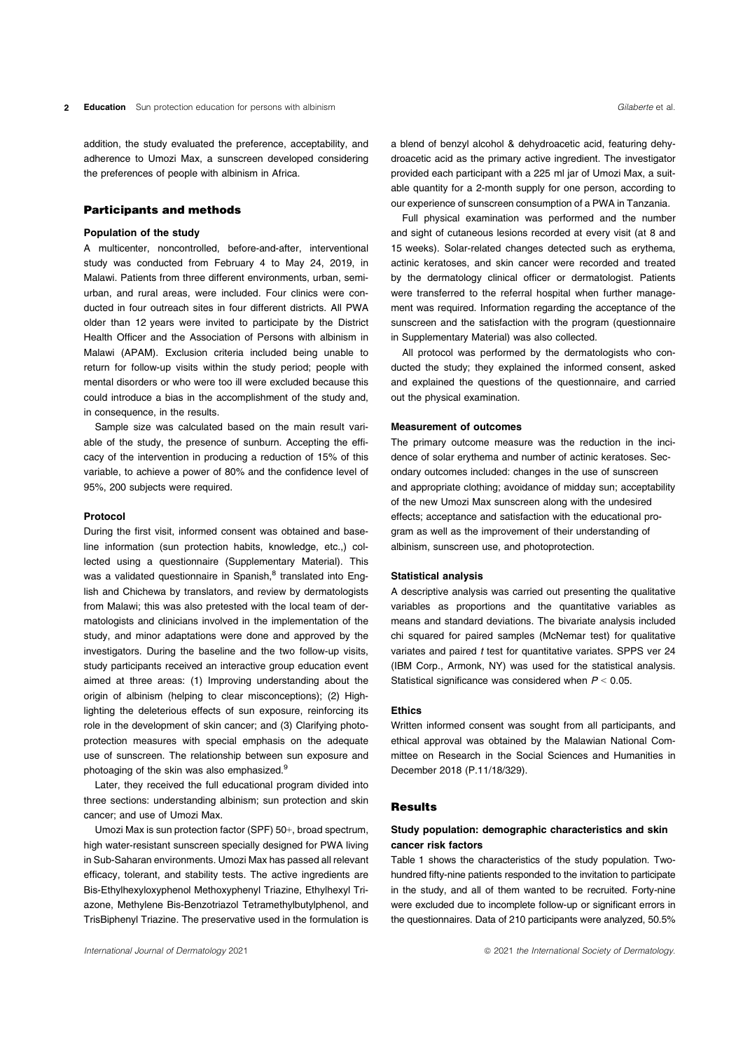addition, the study evaluated the preference, acceptability, and adherence to Umozi Max, a sunscreen developed considering the preferences of people with albinism in Africa.

# Participants and methods

#### Population of the study

A multicenter, noncontrolled, before-and-after, interventional study was conducted from February 4 to May 24, 2019, in Malawi. Patients from three different environments, urban, semiurban, and rural areas, were included. Four clinics were conducted in four outreach sites in four different districts. All PWA older than 12 years were invited to participate by the District Health Officer and the Association of Persons with albinism in Malawi (APAM). Exclusion criteria included being unable to return for follow-up visits within the study period; people with mental disorders or who were too ill were excluded because this could introduce a bias in the accomplishment of the study and, in consequence, in the results.

Sample size was calculated based on the main result variable of the study, the presence of sunburn. Accepting the efficacy of the intervention in producing a reduction of 15% of this variable, to achieve a power of 80% and the confidence level of 95%, 200 subjects were required.

#### Protocol

During the first visit, informed consent was obtained and baseline information (sun protection habits, knowledge, etc.,) collected using a questionnaire (Supplementary Material). This was a validated questionnaire in Spanish,<sup>8</sup> translated into English and Chichewa by translators, and review by dermatologists from Malawi; this was also pretested with the local team of dermatologists and clinicians involved in the implementation of the study, and minor adaptations were done and approved by the investigators. During the baseline and the two follow-up visits, study participants received an interactive group education event aimed at three areas: (1) Improving understanding about the origin of albinism (helping to clear misconceptions); (2) Highlighting the deleterious effects of sun exposure, reinforcing its role in the development of skin cancer; and (3) Clarifying photoprotection measures with special emphasis on the adequate use of sunscreen. The relationship between sun exposure and photoaging of the skin was also emphasized.<sup>9</sup>

Later, they received the full educational program divided into three sections: understanding albinism; sun protection and skin cancer; and use of Umozi Max.

Umozi Max is sun protection factor (SPF) 50+, broad spectrum, high water-resistant sunscreen specially designed for PWA living in Sub-Saharan environments. Umozi Max has passed all relevant efficacy, tolerant, and stability tests. The active ingredients are Bis-Ethylhexyloxyphenol Methoxyphenyl Triazine, Ethylhexyl Triazone, Methylene Bis-Benzotriazol Tetramethylbutylphenol, and TrisBiphenyl Triazine. The preservative used in the formulation is

a blend of benzyl alcohol & dehydroacetic acid, featuring dehy-

Full physical examination was performed and the number and sight of cutaneous lesions recorded at every visit (at 8 and 15 weeks). Solar-related changes detected such as erythema, actinic keratoses, and skin cancer were recorded and treated by the dermatology clinical officer or dermatologist. Patients were transferred to the referral hospital when further management was required. Information regarding the acceptance of the sunscreen and the satisfaction with the program (questionnaire in Supplementary Material) was also collected.

All protocol was performed by the dermatologists who conducted the study; they explained the informed consent, asked and explained the questions of the questionnaire, and carried out the physical examination.

#### Measurement of outcomes

The primary outcome measure was the reduction in the incidence of solar erythema and number of actinic keratoses. Secondary outcomes included: changes in the use of sunscreen and appropriate clothing; avoidance of midday sun; acceptability of the new Umozi Max sunscreen along with the undesired effects; acceptance and satisfaction with the educational program as well as the improvement of their understanding of albinism, sunscreen use, and photoprotection.

#### Statistical analysis

A descriptive analysis was carried out presenting the qualitative variables as proportions and the quantitative variables as means and standard deviations. The bivariate analysis included chi squared for paired samples (McNemar test) for qualitative variates and paired t test for quantitative variates. SPPS ver 24 (IBM Corp., Armonk, NY) was used for the statistical analysis. Statistical significance was considered when  $P < 0.05$ .

#### Ethics

Written informed consent was sought from all participants, and ethical approval was obtained by the Malawian National Committee on Research in the Social Sciences and Humanities in December 2018 (P.11/18/329).

#### Results

# Study population: demographic characteristics and skin cancer risk factors

Table 1 shows the characteristics of the study population. Twohundred fifty-nine patients responded to the invitation to participate in the study, and all of them wanted to be recruited. Forty-nine were excluded due to incomplete follow-up or significant errors in the questionnaires. Data of 210 participants were analyzed, 50.5%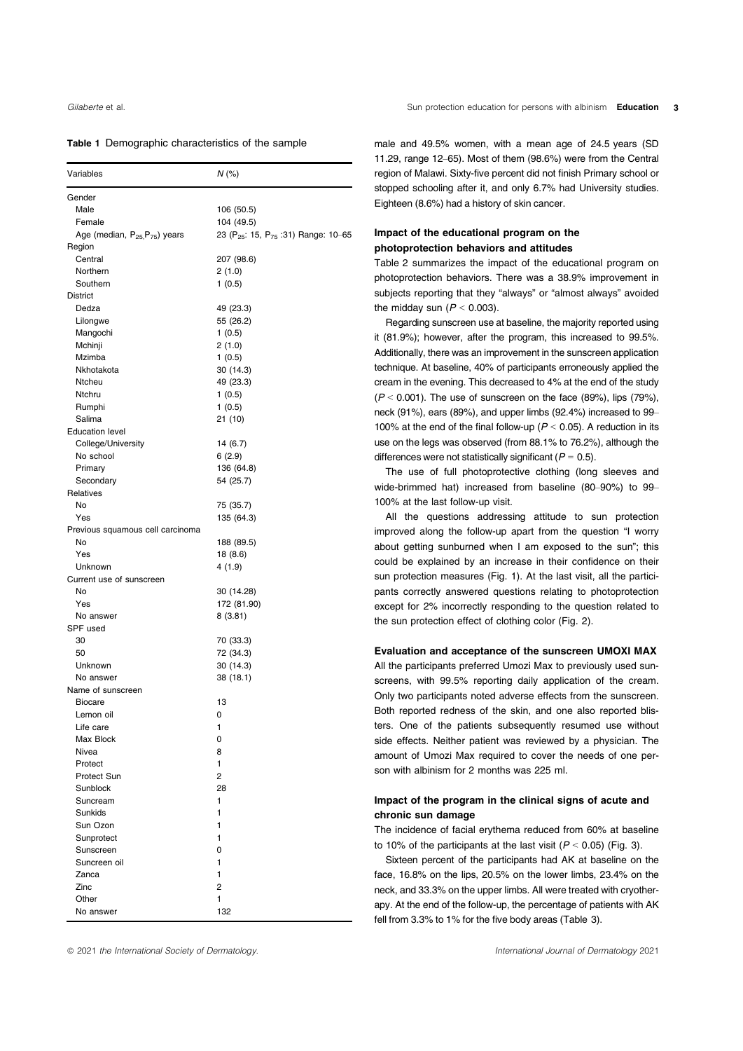#### Table 1 Demographic characteristics of the sample

| Variables                                             | $N$ (%)                                                      |
|-------------------------------------------------------|--------------------------------------------------------------|
| Gender                                                |                                                              |
| Male                                                  | 106 (50.5)                                                   |
| Female                                                | 104 (49.5)                                                   |
| Age (median, P <sub>25,</sub> P <sub>75</sub> ) years | 23 (P <sub>25</sub> : 15, P <sub>75</sub> : 31) Range: 10-65 |
| Region                                                |                                                              |
| Central                                               | 207 (98.6)                                                   |
| Northern                                              | 2 (1.0)                                                      |
| Southern                                              | 1(0.5)                                                       |
| District                                              |                                                              |
| Dedza                                                 | 49 (23.3)                                                    |
| Lilongwe                                              | 55 (26.2)                                                    |
| Mangochi                                              | 1(0.5)                                                       |
| Mchinji                                               | 2 (1.0)                                                      |
| Mzimba                                                | 1(0.5)                                                       |
| Nkhotakota                                            | 30 (14.3)                                                    |
| Ntcheu                                                | 49 (23.3)                                                    |
| Ntchru                                                | 1(0.5)                                                       |
| Rumphi                                                | 1(0.5)                                                       |
| Salima                                                | 21 (10)                                                      |
| <b>Education level</b><br>College/University          |                                                              |
| No school                                             | 14 (6.7)                                                     |
|                                                       | 6(2.9)                                                       |
| Primary<br>Secondary                                  | 136 (64.8)<br>54 (25.7)                                      |
| Relatives                                             |                                                              |
| No                                                    | 75 (35.7)                                                    |
| Yes                                                   | 135 (64.3)                                                   |
| Previous squamous cell carcinoma                      |                                                              |
| No                                                    | 188 (89.5)                                                   |
| Yes                                                   | 18 (8.6)                                                     |
| Unknown                                               | 4 (1.9)                                                      |
| Current use of sunscreen                              |                                                              |
| No                                                    | 30 (14.28)                                                   |
| Yes                                                   | 172 (81.90)                                                  |
| No answer                                             | 8 (3.81)                                                     |
| SPF used                                              |                                                              |
| 30                                                    | 70 (33.3)                                                    |
| 50                                                    | 72 (34.3)                                                    |
| Unknown                                               | 30 (14.3)                                                    |
| No answer                                             | 38 (18.1)                                                    |
| Name of sunscreen                                     |                                                              |
| <b>Biocare</b>                                        | 13                                                           |
| Lemon oil                                             | 0                                                            |
| Life care                                             | 1                                                            |
| Max Block                                             | 0                                                            |
| Nivea                                                 | 8                                                            |
| Protect                                               | 1                                                            |
| Protect Sun                                           | $\overline{2}$                                               |
| Sunblock                                              | 28                                                           |
| Suncream                                              | 1                                                            |
| Sunkids                                               | 1                                                            |
| Sun Ozon                                              | 1                                                            |
| Sunprotect                                            | 1                                                            |
| Sunscreen                                             | 0                                                            |
| Suncreen oil                                          | 1                                                            |
| Zanca                                                 | 1                                                            |
| Zinc                                                  | $\overline{2}$                                               |
| Other                                                 | 1                                                            |
| No answer                                             | 132                                                          |

male and 49.5% women, with a mean age of 24.5 years (SD 11.29, range 12–65). Most of them (98.6%) were from the Central region of Malawi. Sixty-five percent did not finish Primary school or stopped schooling after it, and only 6.7% had University studies. Eighteen (8.6%) had a history of skin cancer.

# Impact of the educational program on the photoprotection behaviors and attitudes

Table 2 summarizes the impact of the educational program on photoprotection behaviors. There was a 38.9% improvement in subjects reporting that they "always" or "almost always" avoided the midday sun  $(P < 0.003)$ .

Regarding sunscreen use at baseline, the majority reported using it (81.9%); however, after the program, this increased to 99.5%. Additionally, there was an improvement in the sunscreen application technique. At baseline, 40% of participants erroneously applied the cream in the evening. This decreased to 4% at the end of the study  $(P < 0.001)$ . The use of sunscreen on the face  $(89\%)$ . lips  $(79\%)$ . neck (91%), ears (89%), and upper limbs (92.4%) increased to 99– 100% at the end of the final follow-up ( $P < 0.05$ ). A reduction in its use on the legs was observed (from 88.1% to 76.2%), although the differences were not statistically significant ( $P = 0.5$ ).

The use of full photoprotective clothing (long sleeves and wide-brimmed hat) increased from baseline (80–90%) to 99– 100% at the last follow-up visit.

All the questions addressing attitude to sun protection improved along the follow-up apart from the question "I worry about getting sunburned when I am exposed to the sun"; this could be explained by an increase in their confidence on their sun protection measures (Fig. 1). At the last visit, all the participants correctly answered questions relating to photoprotection except for 2% incorrectly responding to the question related to the sun protection effect of clothing color (Fig. 2).

#### Evaluation and acceptance of the sunscreen UMOXI MAX

All the participants preferred Umozi Max to previously used sunscreens, with 99.5% reporting daily application of the cream. Only two participants noted adverse effects from the sunscreen. Both reported redness of the skin, and one also reported blisters. One of the patients subsequently resumed use without side effects. Neither patient was reviewed by a physician. The amount of Umozi Max required to cover the needs of one person with albinism for 2 months was 225 ml.

# Impact of the program in the clinical signs of acute and chronic sun damage

The incidence of facial erythema reduced from 60% at baseline to 10% of the participants at the last visit ( $P < 0.05$ ) (Fig. 3).

Sixteen percent of the participants had AK at baseline on the face, 16.8% on the lips, 20.5% on the lower limbs, 23.4% on the neck, and 33.3% on the upper limbs. All were treated with cryotherapy. At the end of the follow-up, the percentage of patients with AK fell from 3.3% to 1% for the five body areas (Table 3).

ª 2021 the International Society of Dermatology. International Journal of Dermatology 2021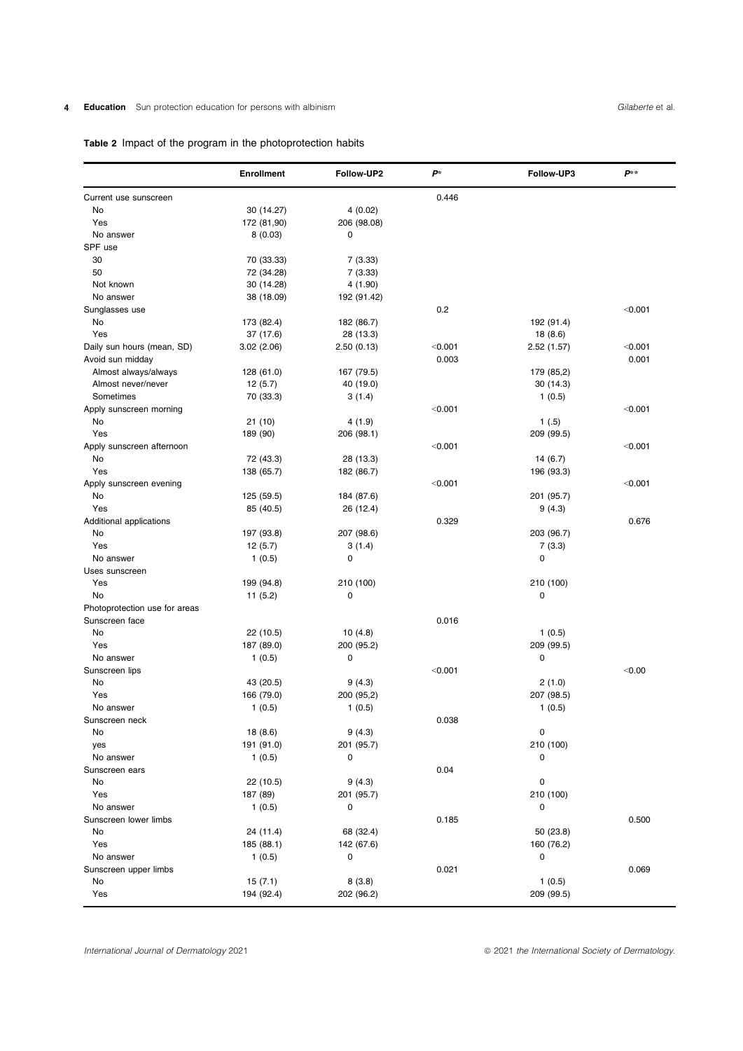# 4 Education Sun protection education for persons with albinism **Gilaberte et al.** Gilaberte et al.

# Table 2 Impact of the program in the photoprotection habits

|                               | <b>Enrollment</b> | Follow-UP2  | $P^*$   | Follow-UP3 | $P^{**}$ |
|-------------------------------|-------------------|-------------|---------|------------|----------|
| Current use sunscreen         |                   |             | 0.446   |            |          |
| No                            | 30 (14.27)        | 4(0.02)     |         |            |          |
| Yes                           | 172 (81,90)       | 206 (98.08) |         |            |          |
| No answer                     | 8(0.03)           | 0           |         |            |          |
| SPF use                       |                   |             |         |            |          |
| 30                            | 70 (33.33)        | 7(3.33)     |         |            |          |
| 50                            | 72 (34.28)        | 7(3.33)     |         |            |          |
| Not known                     | 30 (14.28)        | 4 (1.90)    |         |            |          |
| No answer                     | 38 (18.09)        | 192 (91.42) |         |            |          |
|                               |                   |             | 0.2     |            | < 0.001  |
| Sunglasses use                |                   |             |         |            |          |
| No                            | 173 (82.4)        | 182 (86.7)  |         | 192 (91.4) |          |
| Yes                           | 37 (17.6)         | 28 (13.3)   |         | 18 (8.6)   |          |
| Daily sun hours (mean, SD)    | 3.02(2.06)        | 2.50(0.13)  | < 0.001 | 2.52(1.57) | < 0.001  |
| Avoid sun midday              |                   |             | 0.003   |            | 0.001    |
| Almost always/always          | 128 (61.0)        | 167 (79.5)  |         | 179 (85,2) |          |
| Almost never/never            | 12(5.7)           | 40 (19.0)   |         | 30(14.3)   |          |
| Sometimes                     | 70 (33.3)         | 3(1.4)      |         | 1(0.5)     |          |
| Apply sunscreen morning       |                   |             | < 0.001 |            | < 0.001  |
| No                            | 21 (10)           | 4(1.9)      |         | 1(.5)      |          |
| Yes                           | 189 (90)          | 206 (98.1)  |         | 209 (99.5) |          |
| Apply sunscreen afternoon     |                   |             | < 0.001 |            | < 0.001  |
| No                            | 72 (43.3)         | 28 (13.3)   |         | 14(6.7)    |          |
| Yes                           | 138 (65.7)        | 182 (86.7)  |         | 196 (93.3) |          |
| Apply sunscreen evening       |                   |             | < 0.001 |            | < 0.001  |
| No                            |                   |             |         | 201 (95.7) |          |
|                               | 125 (59.5)        | 184 (87.6)  |         |            |          |
| Yes                           | 85 (40.5)         | 26 (12.4)   |         | 9(4.3)     |          |
| Additional applications       |                   |             | 0.329   |            | 0.676    |
| No                            | 197 (93.8)        | 207 (98.6)  |         | 203 (96.7) |          |
| Yes                           | 12(5.7)           | 3(1.4)      |         | 7(3.3)     |          |
| No answer                     | 1(0.5)            | 0           |         | 0          |          |
| Uses sunscreen                |                   |             |         |            |          |
| Yes                           | 199 (94.8)        | 210 (100)   |         | 210 (100)  |          |
| No                            | 11(5.2)           | 0           |         | 0          |          |
| Photoprotection use for areas |                   |             |         |            |          |
| Sunscreen face                |                   |             | 0.016   |            |          |
| No                            | 22 (10.5)         | 10(4.8)     |         | 1(0.5)     |          |
| Yes                           | 187 (89.0)        | 200 (95.2)  |         | 209 (99.5) |          |
| No answer                     | 1(0.5)            | $\mathbf 0$ |         | 0          |          |
| Sunscreen lips                |                   |             | < 0.001 |            | < 0.00   |
| No                            | 43 (20.5)         | 9(4.3)      |         | 2(1.0)     |          |
| Yes                           | 166 (79.0)        | 200 (95,2)  |         | 207 (98.5) |          |
| No answer                     | 1(0.5)            | 1(0.5)      |         | 1(0.5)     |          |
|                               |                   |             | 0.038   |            |          |
| Sunscreen neck                |                   |             |         |            |          |
| No                            | 18 (8.6)          | 9(4.3)      |         | 0          |          |
| yes                           | 191 (91.0)        | 201 (95.7)  |         | 210 (100)  |          |
| No answer                     | 1(0.5)            | 0           |         | 0          |          |
| Sunscreen ears                |                   |             | 0.04    |            |          |
| No                            | 22 (10.5)         | 9(4.3)      |         | 0          |          |
| Yes                           | 187 (89)          | 201 (95.7)  |         | 210 (100)  |          |
| No answer                     | 1(0.5)            | 0           |         | 0          |          |
| Sunscreen lower limbs         |                   |             | 0.185   |            | 0.500    |
| No                            | 24 (11.4)         | 68 (32.4)   |         | 50 (23.8)  |          |
| Yes                           | 185 (88.1)        | 142 (67.6)  |         | 160 (76.2) |          |
| No answer                     | 1(0.5)            | 0           |         | 0          |          |
| Sunscreen upper limbs         |                   |             | 0.021   |            | 0.069    |
| No                            | 15(7.1)           | 8(3.8)      |         | 1(0.5)     |          |
| Yes                           | 194 (92.4)        | 202 (96.2)  |         | 209 (99.5) |          |
|                               |                   |             |         |            |          |

International Journal of Dermatology 2021 **1998** 2021 the International Society of Dermatology.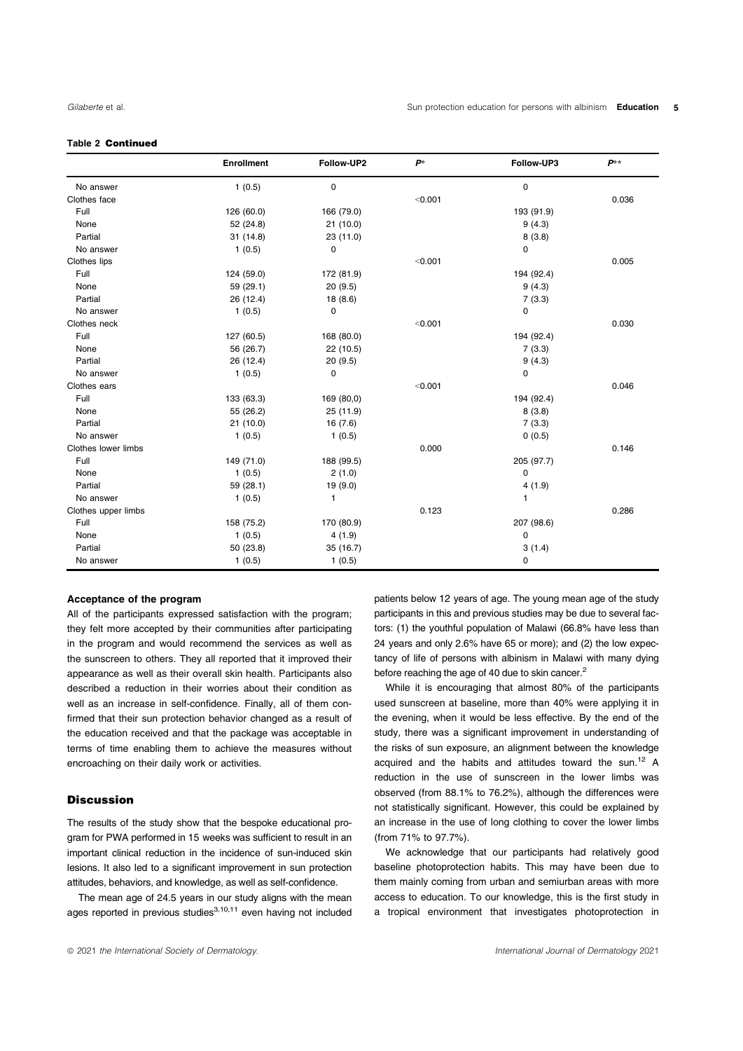#### Table 2 Continued

|                     | <b>Enrollment</b> | Follow-UP2   | $P^*$   | Follow-UP3 | $P**$ |
|---------------------|-------------------|--------------|---------|------------|-------|
| No answer           | 1(0.5)            | 0            |         | 0          |       |
| Clothes face        |                   |              | < 0.001 |            | 0.036 |
| Full                | 126 (60.0)        | 166 (79.0)   |         | 193 (91.9) |       |
| None                | 52 (24.8)         | 21(10.0)     |         | 9(4.3)     |       |
| Partial             | 31 (14.8)         | 23 (11.0)    |         | 8(3.8)     |       |
| No answer           | 1(0.5)            | 0            |         | 0          |       |
| Clothes lips        |                   |              | < 0.001 |            | 0.005 |
| Full                | 124 (59.0)        | 172 (81.9)   |         | 194 (92.4) |       |
| None                | 59 (29.1)         | 20(9.5)      |         | 9(4.3)     |       |
| Partial             | 26 (12.4)         | 18 (8.6)     |         | 7(3.3)     |       |
| No answer           | 1(0.5)            | 0            |         | 0          |       |
| Clothes neck        |                   |              | < 0.001 |            | 0.030 |
| Full                | 127 (60.5)        | 168 (80.0)   |         | 194 (92.4) |       |
| None                | 56 (26.7)         | 22 (10.5)    |         | 7(3.3)     |       |
| Partial             | 26 (12.4)         | 20(9.5)      |         | 9(4.3)     |       |
| No answer           | 1(0.5)            | $\mathbf 0$  |         | 0          |       |
| Clothes ears        |                   |              | < 0.001 |            | 0.046 |
| Full                | 133 (63.3)        | 169 (80,0)   |         | 194 (92.4) |       |
| None                | 55 (26.2)         | 25 (11.9)    |         | 8(3.8)     |       |
| Partial             | 21(10.0)          | 16(7.6)      |         | 7(3.3)     |       |
| No answer           | 1(0.5)            | 1(0.5)       |         | 0(0.5)     |       |
| Clothes lower limbs |                   |              | 0.000   |            | 0.146 |
| Full                | 149 (71.0)        | 188 (99.5)   |         | 205 (97.7) |       |
| None                | 1(0.5)            | 2(1.0)       |         | 0          |       |
| Partial             | 59 (28.1)         | 19 (9.0)     |         | 4(1.9)     |       |
| No answer           | 1(0.5)            | $\mathbf{1}$ |         | 1          |       |
| Clothes upper limbs |                   |              | 0.123   |            | 0.286 |
| Full                | 158 (75.2)        | 170 (80.9)   |         | 207 (98.6) |       |
| None                | 1(0.5)            | 4(1.9)       |         | 0          |       |
| Partial             | 50 (23.8)         | 35 (16.7)    |         | 3(1.4)     |       |
| No answer           | 1(0.5)            | 1(0.5)       |         | 0          |       |

#### Acceptance of the program

All of the participants expressed satisfaction with the program; they felt more accepted by their communities after participating in the program and would recommend the services as well as the sunscreen to others. They all reported that it improved their appearance as well as their overall skin health. Participants also described a reduction in their worries about their condition as well as an increase in self-confidence. Finally, all of them confirmed that their sun protection behavior changed as a result of the education received and that the package was acceptable in terms of time enabling them to achieve the measures without encroaching on their daily work or activities.

### **Discussion**

The results of the study show that the bespoke educational program for PWA performed in 15 weeks was sufficient to result in an important clinical reduction in the incidence of sun-induced skin lesions. It also led to a significant improvement in sun protection attitudes, behaviors, and knowledge, as well as self-confidence.

The mean age of 24.5 years in our study aligns with the mean ages reported in previous studies $3,10,11$  even having not included

patients below 12 years of age. The young mean age of the study participants in this and previous studies may be due to several factors: (1) the youthful population of Malawi (66.8% have less than 24 years and only 2.6% have 65 or more); and (2) the low expectancy of life of persons with albinism in Malawi with many dying before reaching the age of 40 due to skin cancer.<sup>2</sup>

While it is encouraging that almost 80% of the participants used sunscreen at baseline, more than 40% were applying it in the evening, when it would be less effective. By the end of the study, there was a significant improvement in understanding of the risks of sun exposure, an alignment between the knowledge acquired and the habits and attitudes toward the sun.12 A reduction in the use of sunscreen in the lower limbs was observed (from 88.1% to 76.2%), although the differences were not statistically significant. However, this could be explained by an increase in the use of long clothing to cover the lower limbs (from 71% to 97.7%).

We acknowledge that our participants had relatively good baseline photoprotection habits. This may have been due to them mainly coming from urban and semiurban areas with more access to education. To our knowledge, this is the first study in a tropical environment that investigates photoprotection in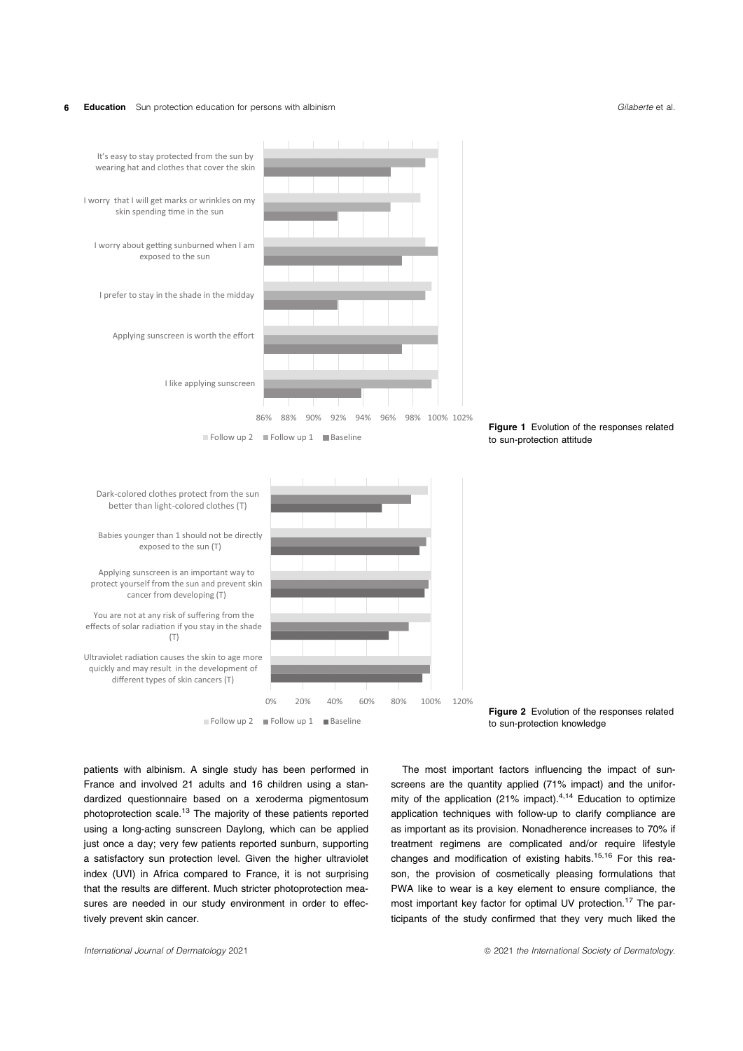#### 6 **Education** Sun protection education for persons with albinism **Gilaberte et al.** Gilaberte et al.



patients with albinism. A single study has been performed in France and involved 21 adults and 16 children using a standardized questionnaire based on a xeroderma pigmentosum photoprotection scale.13 The majority of these patients reported using a long-acting sunscreen Daylong, which can be applied just once a day; very few patients reported sunburn, supporting a satisfactory sun protection level. Given the higher ultraviolet index (UVI) in Africa compared to France, it is not surprising that the results are different. Much stricter photoprotection measures are needed in our study environment in order to effectively prevent skin cancer.



The most important factors influencing the impact of sunscreens are the quantity applied (71% impact) and the uniformity of the application (21% impact). $4,14$  Education to optimize application techniques with follow-up to clarify compliance are as important as its provision. Nonadherence increases to 70% if treatment regimens are complicated and/or require lifestyle changes and modification of existing habits.<sup>15,16</sup> For this reason, the provision of cosmetically pleasing formulations that PWA like to wear is a key element to ensure compliance, the most important key factor for optimal UV protection.<sup>17</sup> The participants of the study confirmed that they very much liked the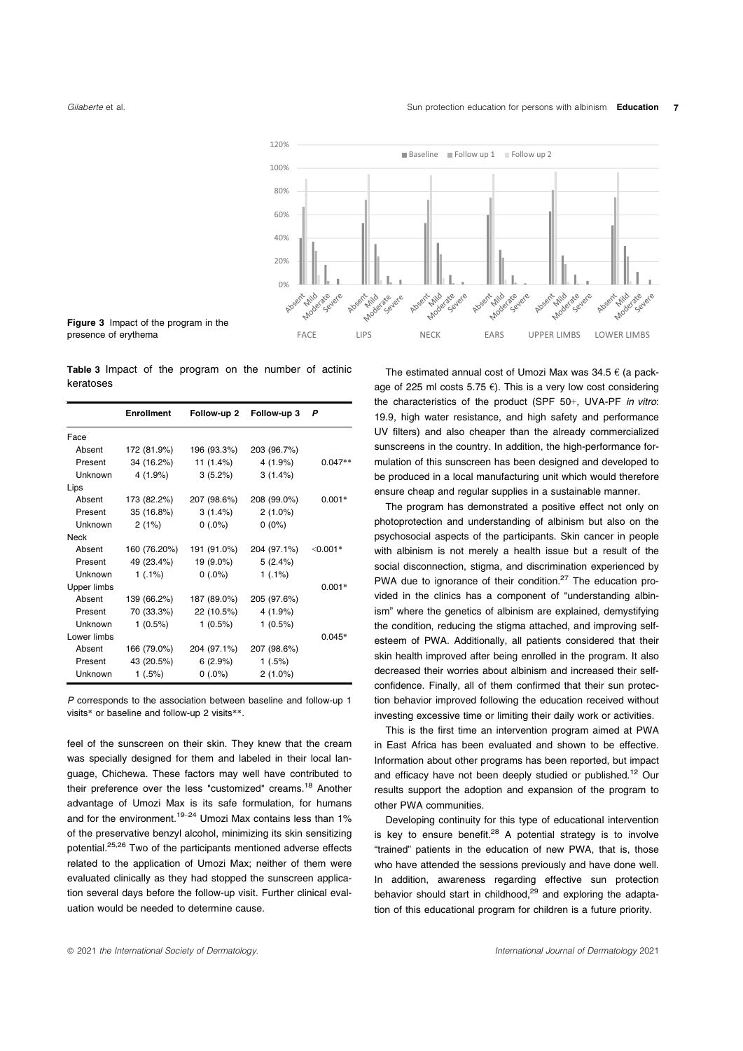



Table 3 Impact of the program on the number of actinic keratoses

|             | <b>Enrollment</b> | Follow-up 2 | Follow-up 3 | Ρ          |
|-------------|-------------------|-------------|-------------|------------|
| Face        |                   |             |             |            |
| Absent      | 172 (81.9%)       | 196 (93.3%) | 203 (96.7%) |            |
| Present     | 34 (16.2%)        | 11 (1.4%)   | 4 (1.9%)    | $0.047**$  |
| Unknown     | $4(1.9\%)$        | 3(5.2%)     | 3(1.4%)     |            |
| Lips        |                   |             |             |            |
| Absent      | 173 (82.2%)       | 207 (98.6%) | 208 (99.0%) | $0.001*$   |
| Present     | 35 (16.8%)        | 3(1.4%)     | $2(1.0\%)$  |            |
| Unknown     | 2(1%)             | $0(.0\%)$   | $0(0\%)$    |            |
| <b>Neck</b> |                   |             |             |            |
| Absent      | 160 (76.20%)      | 191 (91.0%) | 204 (97.1%) | $<$ 0.001* |
| Present     | 49 (23.4%)        | 19 (9.0%)   | 5(2.4%)     |            |
| Unknown     | 1(.1%)            | $0(.0\%)$   | 1(.1%)      |            |
| Upper limbs |                   |             |             | $0.001*$   |
| Absent      | 139 (66.2%)       | 187 (89.0%) | 205 (97.6%) |            |
| Present     | 70 (33.3%)        | 22 (10.5%)  | 4 (1.9%)    |            |
| Unknown     | $1(0.5\%)$        | $1(0.5\%)$  | $1(0.5\%)$  |            |
| Lower limbs |                   |             |             | $0.045*$   |
| Absent      | 166 (79.0%)       | 204 (97.1%) | 207 (98.6%) |            |
| Present     | 43 (20.5%)        | 6(2.9%)     | 1(.5%)      |            |
| Unknown     | 1(.5%)            | $0(.0\%)$   | $2(1.0\%)$  |            |

P corresponds to the association between baseline and follow-up 1 visits\* or baseline and follow-up 2 visits\*\*.

feel of the sunscreen on their skin. They knew that the cream was specially designed for them and labeled in their local language, Chichewa. These factors may well have contributed to their preference over the less "customized" creams.<sup>18</sup> Another advantage of Umozi Max is its safe formulation, for humans and for the environment.<sup>19–24</sup> Umozi Max contains less than  $1\%$ of the preservative benzyl alcohol, minimizing its skin sensitizing potential.25,26 Two of the participants mentioned adverse effects related to the application of Umozi Max; neither of them were evaluated clinically as they had stopped the sunscreen application several days before the follow-up visit. Further clinical evaluation would be needed to determine cause.

The estimated annual cost of Umozi Max was  $34.5 \in (a$  package of 225 ml costs 5.75  $\epsilon$ ). This is a very low cost considering the characteristics of the product (SPF 50+, UVA-PF in vitro: 19.9, high water resistance, and high safety and performance UV filters) and also cheaper than the already commercialized sunscreens in the country. In addition, the high-performance formulation of this sunscreen has been designed and developed to be produced in a local manufacturing unit which would therefore ensure cheap and regular supplies in a sustainable manner.

The program has demonstrated a positive effect not only on photoprotection and understanding of albinism but also on the psychosocial aspects of the participants. Skin cancer in people with albinism is not merely a health issue but a result of the social disconnection, stigma, and discrimination experienced by PWA due to ignorance of their condition.<sup>27</sup> The education provided in the clinics has a component of "understanding albinism" where the genetics of albinism are explained, demystifying the condition, reducing the stigma attached, and improving selfesteem of PWA. Additionally, all patients considered that their skin health improved after being enrolled in the program. It also decreased their worries about albinism and increased their selfconfidence. Finally, all of them confirmed that their sun protection behavior improved following the education received without investing excessive time or limiting their daily work or activities.

This is the first time an intervention program aimed at PWA in East Africa has been evaluated and shown to be effective. Information about other programs has been reported, but impact and efficacy have not been deeply studied or published.<sup>12</sup> Our results support the adoption and expansion of the program to other PWA communities.

Developing continuity for this type of educational intervention is key to ensure benefit. $28$  A potential strategy is to involve "trained" patients in the education of new PWA, that is, those who have attended the sessions previously and have done well. In addition, awareness regarding effective sun protection behavior should start in childhood,<sup>29</sup> and exploring the adaptation of this educational program for children is a future priority.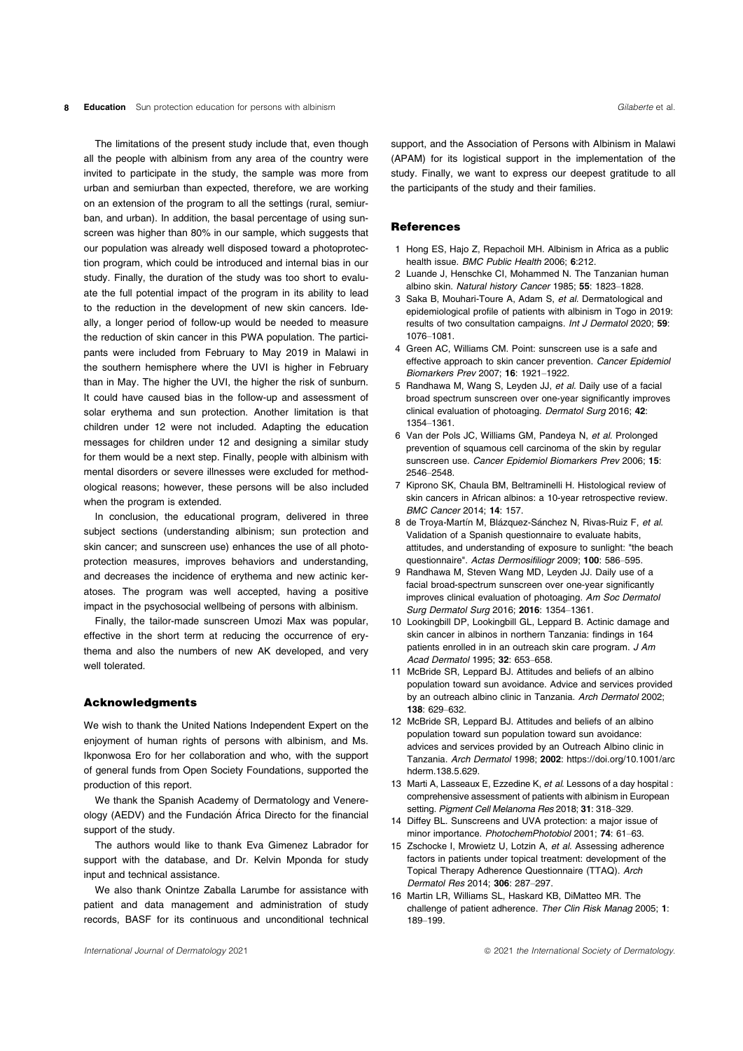#### 8 Education Sun protection education for persons with albinism contract the state of the state of allaberte et al.

The limitations of the present study include that, even though all the people with albinism from any area of the country were invited to participate in the study, the sample was more from urban and semiurban than expected, therefore, we are working on an extension of the program to all the settings (rural, semiurban, and urban). In addition, the basal percentage of using sunscreen was higher than 80% in our sample, which suggests that our population was already well disposed toward a photoprotection program, which could be introduced and internal bias in our study. Finally, the duration of the study was too short to evaluate the full potential impact of the program in its ability to lead to the reduction in the development of new skin cancers. Ideally, a longer period of follow-up would be needed to measure the reduction of skin cancer in this PWA population. The participants were included from February to May 2019 in Malawi in the southern hemisphere where the UVI is higher in February than in May. The higher the UVI, the higher the risk of sunburn. It could have caused bias in the follow-up and assessment of solar erythema and sun protection. Another limitation is that children under 12 were not included. Adapting the education messages for children under 12 and designing a similar study for them would be a next step. Finally, people with albinism with mental disorders or severe illnesses were excluded for methodological reasons; however, these persons will be also included when the program is extended.

In conclusion, the educational program, delivered in three subject sections (understanding albinism; sun protection and skin cancer; and sunscreen use) enhances the use of all photoprotection measures, improves behaviors and understanding, and decreases the incidence of erythema and new actinic keratoses. The program was well accepted, having a positive impact in the psychosocial wellbeing of persons with albinism.

Finally, the tailor-made sunscreen Umozi Max was popular, effective in the short term at reducing the occurrence of erythema and also the numbers of new AK developed, and very well tolerated.

#### Acknowledgments

We wish to thank the United Nations Independent Expert on the enjoyment of human rights of persons with albinism, and Ms. Ikponwosa Ero for her collaboration and who, with the support of general funds from Open Society Foundations, supported the production of this report.

We thank the Spanish Academy of Dermatology and Venereology (AEDV) and the Fundación África Directo for the financial support of the study.

The authors would like to thank Eva Gimenez Labrador for support with the database, and Dr. Kelvin Mponda for study input and technical assistance.

We also thank Onintze Zaballa Larumbe for assistance with patient and data management and administration of study records, BASF for its continuous and unconditional technical

support, and the Association of Persons with Albinism in Malawi (APAM) for its logistical support in the implementation of the study. Finally, we want to express our deepest gratitude to all the participants of the study and their families.

#### **References**

- 1 Hong ES, Hajo Z, Repachoil MH. Albinism in Africa as a public health issue. BMC Public Health 2006; 6:212.
- 2 Luande J, Henschke CI, Mohammed N. The Tanzanian human albino skin. Natural history Cancer 1985; 55: 1823–1828.
- 3 Saka B, Mouhari-Toure A, Adam S, et al. Dermatological and epidemiological profile of patients with albinism in Togo in 2019: results of two consultation campaigns. Int J Dermatol 2020; 59: 1076–1081.
- 4 Green AC, Williams CM. Point: sunscreen use is a safe and effective approach to skin cancer prevention. Cancer Epidemiol Biomarkers Prev 2007; 16: 1921–1922.
- 5 Randhawa M, Wang S, Leyden JJ, et al. Daily use of a facial broad spectrum sunscreen over one-year significantly improves clinical evaluation of photoaging. Dermatol Surg 2016; 42: 1354–1361.
- 6 Van der Pols JC, Williams GM, Pandeya N, et al. Prolonged prevention of squamous cell carcinoma of the skin by regular sunscreen use. Cancer Epidemiol Biomarkers Prev 2006; 15: 2546–2548.
- 7 Kiprono SK, Chaula BM, Beltraminelli H. Histological review of skin cancers in African albinos: a 10-year retrospective review. BMC Cancer 2014; 14: 157.
- 8 de Troya-Martín M, Blázquez-Sánchez N, Rivas-Ruiz F, et al. Validation of a Spanish questionnaire to evaluate habits, attitudes, and understanding of exposure to sunlight: "the beach questionnaire". Actas Dermosifiliogr 2009; 100: 586–595.
- 9 Randhawa M, Steven Wang MD, Leyden JJ. Daily use of a facial broad-spectrum sunscreen over one-year significantly improves clinical evaluation of photoaging. Am Soc Dermatol Surg Dermatol Surg 2016; 2016: 1354–1361.
- 10 Lookingbill DP, Lookingbill GL, Leppard B. Actinic damage and skin cancer in albinos in northern Tanzania: findings in 164 patients enrolled in in an outreach skin care program. J Am Acad Dermatol 1995; 32: 653–658.
- 11 McBride SR, Leppard BJ. Attitudes and beliefs of an albino population toward sun avoidance. Advice and services provided by an outreach albino clinic in Tanzania. Arch Dermatol 2002; 138: 629–632.
- 12 McBride SR, Leppard BJ. Attitudes and beliefs of an albino population toward sun population toward sun avoidance: advices and services provided by an Outreach Albino clinic in Tanzania. Arch Dermatol 1998; 2002: https://doi.org/10.1001/arc hderm.138.5.629.
- 13 Marti A, Lasseaux E, Ezzedine K, et al. Lessons of a day hospital : comprehensive assessment of patients with albinism in European setting. Pigment Cell Melanoma Res 2018; 31: 318–329.
- 14 Diffey BL. Sunscreens and UVA protection: a major issue of minor importance. PhotochemPhotobiol 2001; 74: 61–63.
- 15 Zschocke I, Mrowietz U, Lotzin A, et al. Assessing adherence factors in patients under topical treatment: development of the Topical Therapy Adherence Questionnaire (TTAQ). Arch Dermatol Res 2014; 306: 287–297.
- 16 Martin LR, Williams SL, Haskard KB, DiMatteo MR. The challenge of patient adherence. Ther Clin Risk Manag 2005; 1: 189–199.